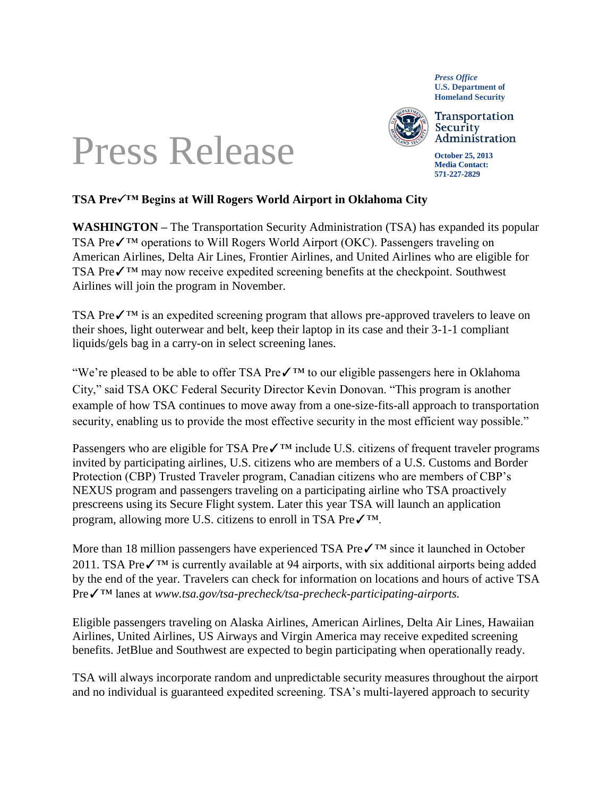*Press Office* **U.S. Department of Homeland Security**



Transportation Security Administration

**October 25, 2013 Media Contact: 571-227-2829**

## Press Release

## **TSA Pre™ Begins at Will Rogers World Airport in Oklahoma City**

**WASHINGTON –** The Transportation Security Administration (TSA) has expanded its popular TSA Preê operations to Will Rogers World Airport (OKC). Passengers traveling on American Airlines, Delta Air Lines, Frontier Airlines, and United Airlines who are eligible for TSA Preê may now receive expedited screening benefits at the checkpoint. Southwest Airlines will join the program in November. T;<br>A<br>T;

TSA Preê is an expedited screening program that allows pre-approved travelers to leave on their shoes, light outerwear and belt, keep their laptop in its case and their 3-1-1 compliant liquids/gels bag in a carry-on in select screening lanes.

"We're pleased to be able to offer TSA Pre✓™ to our eligible passengers here in Oklahoma City," said TSA OKC Federal Security Director Kevin Donovan. "This program is another example of how TSA continues to move away from a one-size-fits-all approach to transportation security, enabling us to provide the most effective security in the most efficient way possible."

Passengers who are eligible for TSA Pre $\checkmark$ <sup>TM</sup> include U.S. citizens of frequent traveler programs invited by participating airlines, U.S. citizens who are members of a U.S. Customs and Border Protection (CBP) Trusted Traveler program, Canadian citizens who are members of CBP's NEXUS program and passengers traveling on a participating airline who TSA proactively prescreens using its Secure Flight system. Later this year TSA will [launch an application](http://www.tsa.gov/tsa-precheck/tsa-precheck-application-process)  [program,](http://www.tsa.gov/tsa-precheck/tsa-precheck-application-process) allowing more U.S. citizens to enroll in TSA Pre✓™.

More than 18 million passengers have experienced TSA Preê since it launched in October 2011. TSA Preê is currently available at 94 airports, with six additional airports being added by the end of the year. Travelers can check for information on locations and hours of active TSA Pre✓™ lanes at *www.tsa.gov/tsa-precheck/tsa-precheck-participating-airports.*

Eligible passengers traveling on Alaska Airlines, American Airlines, Delta Air Lines, Hawaiian Airlines, United Airlines, US Airways and Virgin America may receive expedited screening benefits. JetBlue and Southwest are expected to begin participating when operationally ready.

TSA will always incorporate random and unpredictable security measures throughout the airport and no individual is guaranteed expedited screening. TSA's multi-layered approach to security